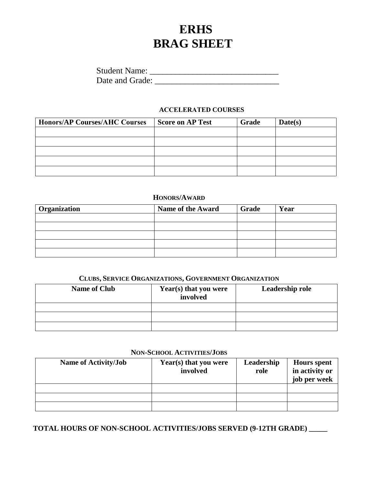# **ERHS BRAG SHEET**

| <b>Student Name:</b> |  |
|----------------------|--|
| Date and Grade:      |  |

#### **ACCELERATED COURSES**

| <b>Honors/AP Courses/AHC Courses</b> | <b>Score on AP Test</b> | Grade | Date(s) |
|--------------------------------------|-------------------------|-------|---------|
|                                      |                         |       |         |
|                                      |                         |       |         |
|                                      |                         |       |         |
|                                      |                         |       |         |
|                                      |                         |       |         |

#### **HONORS/AWARD**

| <b>Organization</b> | <b>Name of the Award</b> | Grade | Year |
|---------------------|--------------------------|-------|------|
|                     |                          |       |      |
|                     |                          |       |      |
|                     |                          |       |      |
|                     |                          |       |      |
|                     |                          |       |      |

# **CLUBS, SERVICE ORGANIZATIONS, GOVERNMENT ORGANIZATION**

| <b>Name of Club</b> | Year(s) that you were<br>involved | Leadership role |
|---------------------|-----------------------------------|-----------------|
|                     |                                   |                 |
|                     |                                   |                 |
|                     |                                   |                 |

#### **NON-SCHOOL ACTIVITIES/JOBS**

| <b>Name of Activity/Job</b> | Year(s) that you were<br>involved | Leadership<br>role | <b>Hours</b> spent<br>in activity or<br>job per week |
|-----------------------------|-----------------------------------|--------------------|------------------------------------------------------|
|                             |                                   |                    |                                                      |
|                             |                                   |                    |                                                      |
|                             |                                   |                    |                                                      |

**TOTAL HOURS OF NON-SCHOOL ACTIVITIES/JOBS SERVED (9-12TH GRADE) \_\_\_\_\_**